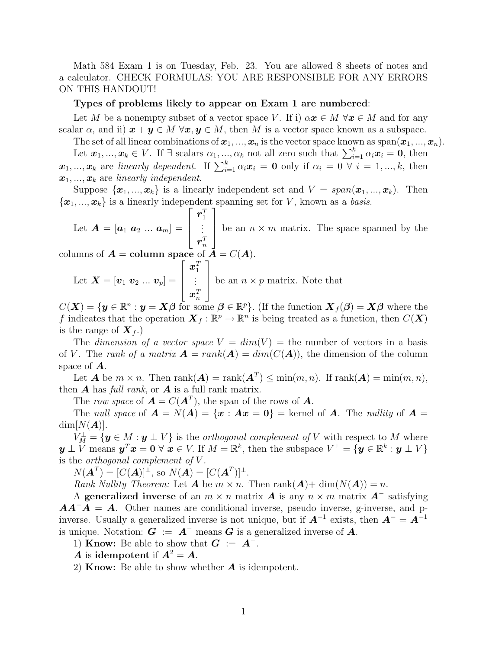Math 584 Exam 1 is on Tuesday, Feb. 23. You are allowed 8 sheets of notes and a calculator. CHECK FORMULAS: YOU ARE RESPONSIBLE FOR ANY ERRORS ON THIS HANDOUT!

## Types of problems likely to appear on Exam 1 are numbered:

Let M be a nonempty subset of a vector space V. If i)  $\alpha x \in M \,\forall x \in M$  and for any scalar  $\alpha$ , and ii)  $x + y \in M \ \forall x, y \in M$ , then M is a vector space known as a subspace.

The set of all linear combinations of  $x_1, ..., x_n$  is the vector space known as span $(x_1, ..., x_n)$ .

Let  $x_1, ..., x_k \in V$ . If  $\exists$  scalars  $\alpha_1, ..., \alpha_k$  not all zero such that  $\sum_{i=1}^k \alpha_i x_i = 0$ , then  $\mathbf{x}_1, \ldots, \mathbf{x}_k$  are *linearly dependent*. If  $\sum_{i=1}^k \alpha_i \mathbf{x}_i = \mathbf{0}$  only if  $\alpha_i = 0 \ \forall \ i = 1, \ldots, k$ , then  $\boldsymbol{x}_1, \ldots, \boldsymbol{x}_k$  are linearly independent.

Suppose  $\{\boldsymbol{x}_1, ..., \boldsymbol{x}_k\}$  is a linearly independent set and  $V = span(\boldsymbol{x}_1, ..., \boldsymbol{x}_k)$ . Then  ${x_1, ..., x_k}$  is a linearly independent spanning set for V, known as a basis.

Let  $\boldsymbol{A} = \left[\boldsymbol{a}_1 \,\, \boldsymbol{a}_2 \, \, ... \, \, \boldsymbol{a}_m \right] =$  $\sqrt{ }$  $\parallel$  $\bm{r}^T_1 \ \vdots$  $\bm{r}_n^T$ ן be an  $n \times m$  matrix. The space spanned by the

columns of  $A = \text{column space of } A = C(A)$ .

Let 
$$
\mathbf{X} = [\mathbf{v}_1 \ \mathbf{v}_2 \ ... \ \mathbf{v}_p] = \begin{bmatrix} \mathbf{x}_1^T \\ \vdots \\ \mathbf{x}_n^T \end{bmatrix}
$$
 be an  $n \times p$  matrix. Note that

 $C(\boldsymbol{X}) = \{ \boldsymbol{y} \in \mathbb{R}^n : \boldsymbol{y} = \boldsymbol{X}\boldsymbol{\beta} \text{ for some } \boldsymbol{\beta} \in \mathbb{R}^p \}.$  (If the function  $\boldsymbol{X}_f(\boldsymbol{\beta}) = \boldsymbol{X}\boldsymbol{\beta}$  where the f indicates that the operation  $\mathbf{X}_f : \mathbb{R}^p \to \mathbb{R}^n$  is being treated as a function, then  $C(\mathbf{X})$ is the range of  $\boldsymbol{X}_{f}$ .)

The dimension of a vector space  $V = dim(V) =$  the number of vectors in a basis of V. The rank of a matrix  $\mathbf{A} = rank(\mathbf{A}) = dim(C(\mathbf{A}))$ , the dimension of the column space of A.

Let **A** be  $m \times n$ . Then  $\text{rank}(A) = \text{rank}(A^T) \le \min(m, n)$ . If  $\text{rank}(A) = \min(m, n)$ , then  $\boldsymbol{A}$  has full rank, or  $\boldsymbol{A}$  is a full rank matrix.

The row space of  $\mathbf{A} = C(\mathbf{A}^T)$ , the span of the rows of  $\mathbf{A}$ .

The null space of  $\mathbf{A} = N(\mathbf{A}) = {\mathbf{x} : \mathbf{A}\mathbf{x} = \mathbf{0}}$  = kernel of  $\mathbf{A}$ . The nullity of  $\mathbf{A} =$  $\dim[N(\boldsymbol{A})].$ 

 $V_M^{\perp} = \{ \mathbf{y} \in M : \mathbf{y} \perp V \}$  is the *orthogonal complement of* V with respect to M where  $y \perp V$  means  $y^T x = 0 \forall x \in V$ . If  $M = \mathbb{R}^k$ , then the subspace  $V^{\perp} = \{y \in \mathbb{R}^k : y \perp V\}$ is the *orthogonal* complement of  $V$ .

 $N(\mathbf{A}^T) = [C(\mathbf{A})]^\perp$ , so  $N(\mathbf{A}) = [C(\mathbf{A}^T)]^\perp$ .

Rank Nullity Theorem: Let **A** be  $m \times n$ . Then rank $(A)$ + dim $(N(A)) = n$ .

A generalized inverse of an  $m \times n$  matrix **A** is any  $n \times m$  matrix **A**<sup> $-$ </sup> satisfying  $AA^{-}A = A$ . Other names are conditional inverse, pseudo inverse, g-inverse, and pinverse. Usually a generalized inverse is not unique, but if  $A^{-1}$  exists, then  $A^{-} = A^{-1}$ is unique. Notation:  $G := A^-$  means G is a generalized inverse of A.

1) **Know:** Be able to show that  $G := A^{-1}$ .

A is idempotent if  $A^2 = A$ .

2) **Know:** Be able to show whether  $\boldsymbol{A}$  is idempotent.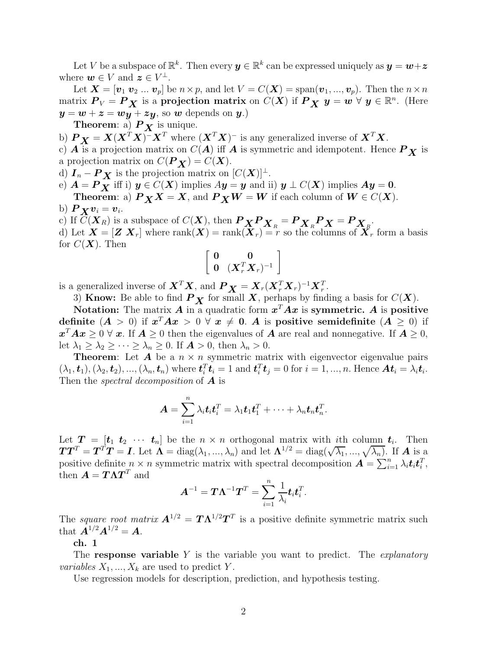Let V be a subspace of  $\mathbb{R}^k$ . Then every  $y \in \mathbb{R}^k$  can be expressed uniquely as  $y = w + z$ where  $\mathbf{w} \in V$  and  $\mathbf{z} \in V^{\perp}$ .

Let  $\mathbf{X} = [\mathbf{v}_1 \mathbf{v}_2 \dots \mathbf{v}_p]$  be  $n \times p$ , and let  $V = C(\mathbf{X}) = \text{span}(\mathbf{v}_1, \dots, \mathbf{v}_p)$ . Then the  $n \times n$ matrix  $P_V = P_X$  is a projection matrix on  $C(X)$  if  $P_X$   $y = w \forall y \in \mathbb{R}^n$ . (Here  $y = w + z = wy + zy$ , so w depends on y.)

**Theorem:** a)  $P_{\boldsymbol{X}}$  is unique.

- b)  $P_X = X(X^T X)^{-1} X^T$  where  $(X^T X)^{-1}$  is any generalized inverse of  $X^T X$ .
- c)  $\overrightarrow{A}$  is a projection matrix on  $C(A)$  iff  $\overrightarrow{A}$  is symmetric and idempotent. Hence  $\overrightarrow{P}_X$  is a projection matrix on  $C(P_X) = C(X)$ .

d)  $I_n - P_X$  is the projection matrix on  $[C(X)]^{\perp}$ .

e)  $A = P_X$  iff i)  $y \in C(X)$  implies  $Ay = y$  and ii)  $y \perp C(X)$  implies  $Ay = 0$ . **Theorem:** a)  $P_X X = X$ , and  $P_X W = W$  if each column of  $W \in C(X)$ .

b) 
$$
P_{\mathbf{X}}\mathbf{v}_i = \mathbf{v}_i
$$
.

c) If  $C(\mathbf{X}_R)$  is a subspace of  $C(\mathbf{X})$ , then  $P_{\mathbf{X}} P_{\mathbf{X}_R} = P_{\mathbf{X}_R} P_{\mathbf{X}} = P_{\mathbf{X}_R}$ .

d) Let  $\boldsymbol{X} = [\boldsymbol{Z} \ \boldsymbol{X}_r]$  where  $\text{rank}(\boldsymbol{X}) = \text{rank}(\boldsymbol{X}_r) = r$  so the columns of  $\boldsymbol{X}_r$  form a basis for  $C(X)$ . Then

$$
\left[\begin{array}{cc} \mathbf{0} & \mathbf{0} \\ \mathbf{0} & (\mathbf{X}_r^T \mathbf{X}_r)^{-1} \end{array}\right]
$$

is a generalized inverse of  $\boldsymbol{X}^T \boldsymbol{X}$ , and  $\boldsymbol{P}_{\boldsymbol{X}} = \boldsymbol{X}_r (\boldsymbol{X}_r^T \boldsymbol{X}_r)^{-1} \boldsymbol{X}_r^T$ .

3) Know: Be able to find  $P_X$  for small X, perhaps by finding a basis for  $C(X)$ .

Notation: The matrix A in a quadratic form  $x^T A x$  is symmetric. A is positive definite  $(A > 0)$  if  $x^T A x > 0 \forall x \neq 0$ . A is positive semidefinite  $(A \geq 0)$  if  $x^T A x \geq 0 \; \forall \; x.$  If  $A \geq 0$  then the eigenvalues of A are real and nonnegative. If  $A \geq 0$ , let  $\lambda_1 \geq \lambda_2 \geq \cdots \geq \lambda_n \geq 0$ . If  $\mathbf{A} > 0$ , then  $\lambda_n > 0$ .

**Theorem:** Let **A** be a  $n \times n$  symmetric matrix with eigenvector eigenvalue pairs  $(\lambda_1, \boldsymbol{t}_1), (\lambda_2, \boldsymbol{t}_2), ..., (\lambda_n, \boldsymbol{t}_n)$  where  $\boldsymbol{t}_i^T \boldsymbol{t}_i = 1$  and  $\boldsymbol{t}_i^T \boldsymbol{t}_j = 0$  for  $i = 1, ..., n$ . Hence  $\boldsymbol{A} \boldsymbol{t}_i = \lambda_i \boldsymbol{t}_i$ . Then the spectral decomposition of  $\boldsymbol{A}$  is

$$
\boldsymbol{A} = \sum_{i=1}^n \lambda_i \boldsymbol{t}_i \boldsymbol{t}_i^T = \lambda_1 \boldsymbol{t}_1 \boldsymbol{t}_1^T + \cdots + \lambda_n \boldsymbol{t}_n \boldsymbol{t}_n^T.
$$

Let  $T = [t_1 \ t_2 \ \cdots \ t_n]$  be the  $n \times n$  orthogonal matrix with ith column  $t_i$ . Then  $TT^T = T^TT = I$ . Let  $\Lambda = \text{diag}(\lambda_1, ..., \lambda_n)$  and let  $\Lambda^{1/2} = \text{diag}(\sqrt{\lambda_1}, ..., \sqrt{\lambda_n})$ . If A is a positive definite  $n \times n$  symmetric matrix with spectral decomposition  $\mathbf{A} = \sum_{i=1}^{n} \lambda_i \mathbf{t}_i \mathbf{t}_i^T$ , then  $\boldsymbol{A} = \boldsymbol{T} \boldsymbol{\Lambda} \boldsymbol{T}^T$  and

$$
\boldsymbol{A}^{-1} = \boldsymbol{T}\boldsymbol{\Lambda}^{-1}\boldsymbol{T}^T = \sum_{i=1}^n \frac{1}{\lambda_i} \boldsymbol{t}_i \boldsymbol{t}_i^T.
$$

The square root matrix  $A^{1/2} = T \Lambda^{1/2} T^T$  is a positive definite symmetric matrix such that  $A^{1/2}A^{1/2} = A$ .

ch. 1

The response variable  $Y$  is the variable you want to predict. The *explanatory* variables  $X_1, ..., X_k$  are used to predict Y.

Use regression models for description, prediction, and hypothesis testing.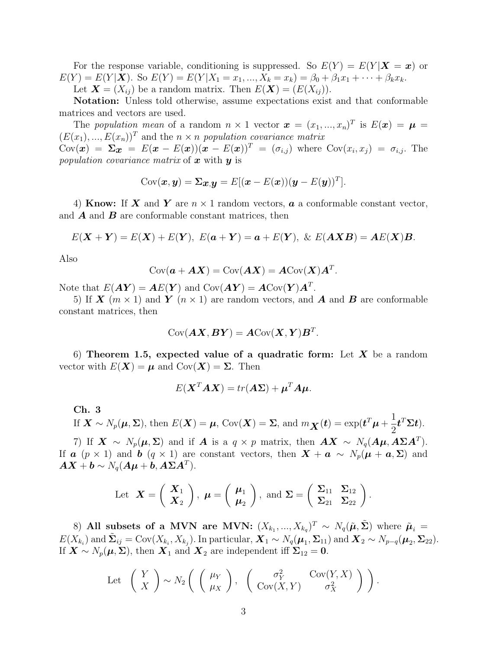For the response variable, conditioning is suppressed. So  $E(Y) = E(Y|X = x)$  or  $E(Y) = E(Y|\mathbf{X})$ . So  $E(Y) = E(Y|X_1 = x_1, ..., X_k = x_k) = \beta_0 + \beta_1 x_1 + \cdots + \beta_k x_k$ . Let  $\mathbf{X} = (X_{ij})$  be a random matrix. Then  $E(\mathbf{X}) = (E(X_{ij}))$ .

Notation: Unless told otherwise, assume expectations exist and that conformable matrices and vectors are used.

The population mean of a random  $n \times 1$  vector  $\mathbf{x} = (x_1, ..., x_n)^T$  is  $E(\mathbf{x}) = \boldsymbol{\mu} =$  $(E(x_1),...,E(x_n))^T$  and the  $n \times n$  population covariance matrix  $Cov(\boldsymbol{x}) = \boldsymbol{\Sigma} \boldsymbol{x} = E(\boldsymbol{x} - E(\boldsymbol{x})) (\boldsymbol{x} - E(\boldsymbol{x}))^T = (\sigma_{i,j})$  where  $Cov(x_i, x_j) = \sigma_{i,j}$ . The population covariance matrix of  $x$  with  $y$  is

$$
Cov(\boldsymbol{x}, \boldsymbol{y}) = \boldsymbol{\Sigma}_{\boldsymbol{x}, \boldsymbol{y}} = E[(\boldsymbol{x} - E(\boldsymbol{x}))(\boldsymbol{y} - E(\boldsymbol{y}))^T].
$$

4) Know: If X and Y are  $n \times 1$  random vectors, a a conformable constant vector, and  $\boldsymbol{A}$  and  $\boldsymbol{B}$  are conformable constant matrices, then

$$
E(\mathbf{X} + \mathbf{Y}) = E(\mathbf{X}) + E(\mathbf{Y}), \ E(\mathbf{a} + \mathbf{Y}) = \mathbf{a} + E(\mathbf{Y}), \ \& \ E(\mathbf{A}\mathbf{X}\mathbf{B}) = \mathbf{A}E(\mathbf{X})\mathbf{B}.
$$

Also

$$
Cov(\mathbf{a} + \mathbf{A}\mathbf{X}) = Cov(\mathbf{A}\mathbf{X}) = \mathbf{A}Cov(\mathbf{X})\mathbf{A}^T.
$$

Note that  $E(\boldsymbol{A}\boldsymbol{Y}) = \boldsymbol{A}E(\boldsymbol{Y})$  and  $\text{Cov}(\boldsymbol{A}\boldsymbol{Y}) = \boldsymbol{A}\text{Cov}(\boldsymbol{Y})\boldsymbol{A}^T$ .

5) If  $\mathbf{X}$  ( $m \times 1$ ) and  $\mathbf{Y}$  ( $n \times 1$ ) are random vectors, and  $\mathbf{A}$  and  $\mathbf{B}$  are conformable constant matrices, then

$$
\mathrm{Cov}(\boldsymbol{A}\boldsymbol{X},\boldsymbol{B}\boldsymbol{Y})=\boldsymbol{A}\mathrm{Cov}(\boldsymbol{X},\boldsymbol{Y})\boldsymbol{B}^T.
$$

6) Theorem 1.5, expected value of a quadratic form: Let X be a random vector with  $E(\mathbf{X}) = \boldsymbol{\mu}$  and  $Cov(\mathbf{X}) = \boldsymbol{\Sigma}$ . Then

$$
E(\mathbf{X}^T \mathbf{A} \mathbf{X}) = tr(\mathbf{A} \mathbf{\Sigma}) + \boldsymbol{\mu}^T \mathbf{A} \boldsymbol{\mu}.
$$

Ch. 3

If 
$$
\mathbf{X} \sim N_p(\boldsymbol{\mu}, \boldsymbol{\Sigma})
$$
, then  $E(\mathbf{X}) = \boldsymbol{\mu}$ ,  $Cov(\mathbf{X}) = \boldsymbol{\Sigma}$ , and  $m_{\mathbf{X}}(t) = exp(t^T \boldsymbol{\mu} + \frac{1}{2} t^T \boldsymbol{\Sigma} t)$ .

7) If  $X \sim N_p(\mu, \Sigma)$  and if A is a  $q \times p$  matrix, then  $AX \sim N_q(A\mu, A\Sigma A^T)$ . If **a**  $(p \times 1)$  and **b**  $(q \times 1)$  are constant vectors, then  $\mathbf{X} + \mathbf{a} \sim N_p(\boldsymbol{\mu} + \boldsymbol{a}, \boldsymbol{\Sigma})$  and  $\boldsymbol{A}\boldsymbol{X} + \boldsymbol{b} \sim N_q(\boldsymbol{A}\boldsymbol{\mu} + \boldsymbol{b}, \boldsymbol{A}\boldsymbol{\Sigma}\boldsymbol{A}^T).$ 

Let 
$$
\mathbf{X} = \begin{pmatrix} \mathbf{X}_1 \\ \mathbf{X}_2 \end{pmatrix}
$$
,  $\boldsymbol{\mu} = \begin{pmatrix} \boldsymbol{\mu}_1 \\ \boldsymbol{\mu}_2 \end{pmatrix}$ , and  $\boldsymbol{\Sigma} = \begin{pmatrix} \Sigma_{11} & \Sigma_{12} \\ \Sigma_{21} & \Sigma_{22} \end{pmatrix}$ .

8) All subsets of a MVN are MVN:  $(X_{k_1},...,X_{k_q})^T \sim N_q(\tilde{\boldsymbol{\mu}},\tilde{\boldsymbol{\Sigma}})$  where  $\tilde{\boldsymbol{\mu}}_i =$  $E(X_{k_i})$  and  $\tilde{\Sigma}_{ij} = \text{Cov}(X_{k_i}, X_{k_j})$ . In particular,  $\mathbf{X}_1 \sim N_q(\boldsymbol{\mu}_1, \boldsymbol{\Sigma}_{11})$  and  $\mathbf{X}_2 \sim N_{p-q}(\boldsymbol{\mu}_2, \boldsymbol{\Sigma}_{22})$ . If  $\mathbf{X} \sim N_p(\boldsymbol{\mu}, \boldsymbol{\Sigma})$ , then  $\mathbf{X}_1$  and  $\mathbf{X}_2$  are independent iff  $\Sigma_{12} = \mathbf{0}$ .

Let 
$$
\begin{pmatrix} Y \\ X \end{pmatrix} \sim N_2 \begin{pmatrix} \begin{pmatrix} \mu_Y \\ \mu_X \end{pmatrix}, \begin{pmatrix} \sigma_Y^2 & \text{Cov}(Y, X) \\ \text{Cov}(X, Y) & \sigma_X^2 \end{pmatrix} \end{pmatrix}.
$$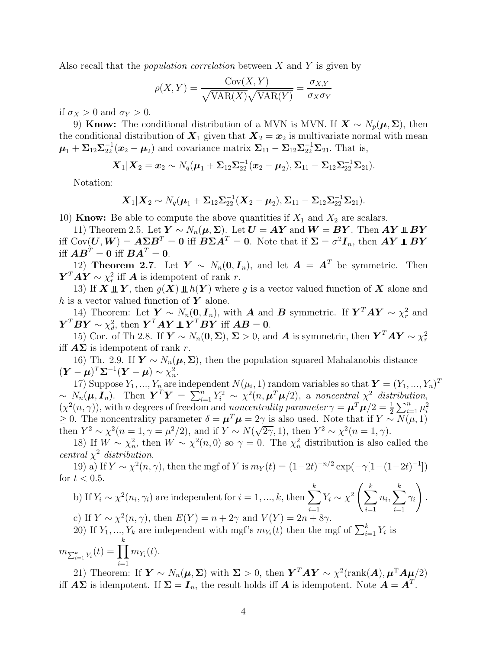Also recall that the *population correlation* between  $X$  and  $Y$  is given by

$$
\rho(X, Y) = \frac{\text{Cov}(X, Y)}{\sqrt{\text{VAR}(X)}\sqrt{\text{VAR}(Y)}} = \frac{\sigma_{X, Y}}{\sigma_X \sigma_Y}
$$

if  $\sigma_X > 0$  and  $\sigma_Y > 0$ .

9) Know: The conditional distribution of a MVN is MVN. If  $\mathbf{X} \sim N_p(\boldsymbol{\mu}, \boldsymbol{\Sigma})$ , then the conditional distribution of  $\mathbf{X}_1$  given that  $\mathbf{X}_2 = \mathbf{x}_2$  is multivariate normal with mean  $\mu_1 + \Sigma_{12} \Sigma_{22}^{-1} (\boldsymbol{x}_2 - \boldsymbol{\mu}_2)$  and covariance matrix  $\Sigma_{11} - \Sigma_{12} \Sigma_{22}^{-1} \Sigma_{21}$ . That is,

$$
\mathbf{X}_1|\mathbf{X}_2=\mathbf{x}_2\sim N_q(\boldsymbol{\mu}_1+\boldsymbol{\Sigma}_{12}\boldsymbol{\Sigma}_{22}^{-1}(\mathbf{x}_2-\boldsymbol{\mu}_2),\boldsymbol{\Sigma}_{11}-\boldsymbol{\Sigma}_{12}\boldsymbol{\Sigma}_{22}^{-1}\boldsymbol{\Sigma}_{21}).
$$

Notation:

$$
\mathbf{X}_1|\mathbf{X}_2 \sim N_q(\boldsymbol{\mu}_1 + \boldsymbol{\Sigma}_{12}\boldsymbol{\Sigma}_{22}^{-1}(\mathbf{X}_2 - \boldsymbol{\mu}_2), \boldsymbol{\Sigma}_{11} - \boldsymbol{\Sigma}_{12}\boldsymbol{\Sigma}_{22}^{-1}\boldsymbol{\Sigma}_{21}).
$$

10) **Know:** Be able to compute the above quantities if  $X_1$  and  $X_2$  are scalars.

11) Theorem 2.5. Let  $Y \sim N_n(\mu, \Sigma)$ . Let  $U = AY$  and  $W = BY$ . Then  $AY \perp BY$ iff  $Cov(U, W) = A \Sigma B^{T} = 0$  iff  $B \Sigma A^{T} = 0$ . Note that if  $\Sigma = \sigma^{2} I_{n}$ , then  $AY \perp\!\!\!\perp BY$ iff  $\boldsymbol{A}\boldsymbol{B}^T = \boldsymbol{0}$  iff  $\boldsymbol{B}\boldsymbol{A}^T = \boldsymbol{0}$ .

12) Theorem 2.7. Let  $Y \sim N_n(0, I_n)$ , and let  $A = A^T$  be symmetric. Then  $\boldsymbol{Y}^T \boldsymbol{A} \boldsymbol{Y} \sim \chi^2_r$ <sup>2</sup> iff **A** is idempotent of rank r.

13) If  $X \perp Y$ , then  $g(X) \perp h(Y)$  where g is a vector valued function of X alone and h is a vector valued function of  $Y$  alone.

14) Theorem: Let  $\mathbf{Y} \sim N_n(\mathbf{0}, \mathbf{I}_n)$ , with **A** and **B** symmetric. If  $\mathbf{Y}^T A \mathbf{Y} \sim \chi^2_r$  and  $\boldsymbol{Y}^T\boldsymbol{B}\boldsymbol{Y}\sim \chi_d^2$  $\mathbf{d}$ , then  $\boldsymbol{Y}^T \boldsymbol{A} \boldsymbol{Y} \mathop{\perp\!\!\!\!\perp} \boldsymbol{Y}^T \boldsymbol{B} \boldsymbol{Y}$  iff  $\boldsymbol{A} \boldsymbol{B} = \boldsymbol{0}$ .

15) Cor. of Th 2.8. If  $\boldsymbol{Y} \sim N_n(\boldsymbol{0}, \boldsymbol{\Sigma})$ ,  $\boldsymbol{\Sigma} > 0$ , and **A** is symmetric, then  $\boldsymbol{Y}^T \boldsymbol{A} \boldsymbol{Y} \sim \chi^2_r$ r iff  $\mathbf{A}\Sigma$  is idempotent of rank r.

16) Th. 2.9. If  $\mathbf{Y} \sim N_n(\boldsymbol{\mu}, \boldsymbol{\Sigma})$ , then the population squared Mahalanobis distance  $(\boldsymbol{Y} - \boldsymbol{\mu})^T \boldsymbol{\Sigma}^{-1} (\boldsymbol{Y} - \boldsymbol{\mu}) \sim \chi_n^2$  $\frac{2}{n}$ .

17) Suppose  $Y_1, ..., Y_n$  are independent  $N(\mu_i, 1)$  random variables so that  $\boldsymbol{Y} = (Y_1, ..., Y_n)^T$  $\sim N_n(\mu, I_n)$ . Then  $\boldsymbol{Y}^T \boldsymbol{Y} = \sum_{i=1}^n Y_i^2 \sim \chi^2(n, \mu^T \mu/2)$ , a noncentral  $\chi^2$  distribution,  $(\chi^2(n,\gamma))$ , with n degrees of freedom and noncentrality parameter  $\gamma = \mu^T \mu/2 = \frac{1}{2} \sum_{i=1}^n \mu_i^2$ i ≥ 0. The noncentrality parameter  $\delta = \mu^T \mu = 2\gamma$  is also used. Note that if  $Y \sim N(\mu, 1)$ then  $Y^2 \sim \chi^2(n=1, \gamma=\mu^2/2)$ , and if  $Y \sim N(\sqrt{2\gamma}, 1)$ , then  $Y^2 \sim \chi^2(n=1, \gamma)$ .

18) If  $W \sim \chi^2_n$ <sup>2</sup><sub>n</sub>, then  $W \sim \chi^2(n,0)$  so  $\gamma = 0$ . The  $\chi^2$  distribution is also called the central  $\chi^2$  distribution.

19) a) If  $Y \sim \chi^2(n, \gamma)$ , then the mgf of Y is  $m_Y(t) = (1-2t)^{-n/2} \exp(-\gamma[1-(1-2t)^{-1}])$ for  $t < 0.5$ .

b) If 
$$
Y_i \sim \chi^2(n_i, \gamma_i)
$$
 are independent for  $i = 1, ..., k$ , then  $\sum_{i=1}^k Y_i \sim \chi^2 \left( \sum_{i=1}^k n_i, \sum_{i=1}^k \gamma_i \right)$ .  
\nc) If  $Y \sim \chi^2(n, \gamma)$ , then  $E(Y) = n + 2\gamma$  and  $V(Y) = 2n + 8\gamma$ .  
\n20) If  $Y_1, ..., Y_k$  are independent with mgf's  $m_{Y_i}(t)$  then the mgf of  $\sum_{i=1}^k Y_i$  is

$$
m_{\sum_{i=1}^{k} Y_i}(t) = \prod_{i=1}^{k} m_{Y_i}(t).
$$

21) Theorem: If  $\mathbf{Y} \sim N_n(\mu, \Sigma)$  with  $\Sigma > 0$ , then  $\mathbf{Y}^T A \mathbf{Y} \sim \chi^2(\text{rank}(A), \mu^T A \mu/2)$ iff  $A\Sigma$  is idempotent. If  $\Sigma = I_n$ , the result holds iff  $A$  is idempotent. Note  $A = A^T$ .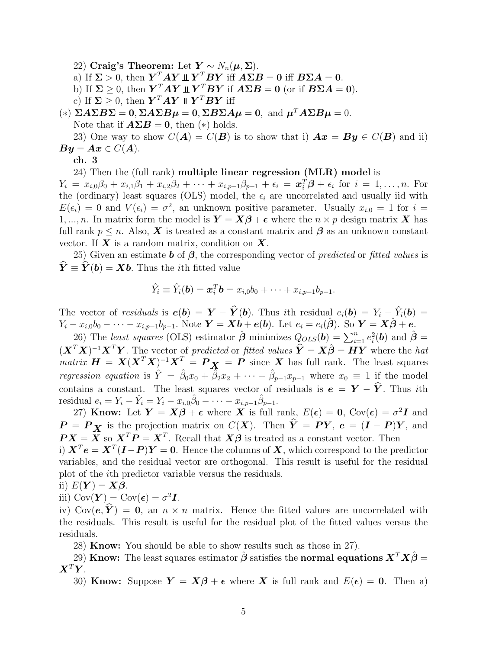22) Craig's Theorem: Let  $Y \sim N_n(\mu, \Sigma)$ .

a) If  $\Sigma > 0$ , then  $\boldsymbol{Y}^T A \boldsymbol{Y} \perp \!\!\! \perp \boldsymbol{Y}^T B \boldsymbol{Y}$  iff  $A \Sigma B = 0$  iff  $B \Sigma A = 0$ .

b) If  $\Sigma \geq 0$ , then  $\boldsymbol{Y}^T A \boldsymbol{Y} \perp \boldsymbol{Y}^T B \boldsymbol{Y}$  if  $A \Sigma B = 0$  (or if  $B \Sigma A = 0$ ).

c) If  $\Sigma \geq 0$ , then  $\boldsymbol{Y}^T \boldsymbol{A} \boldsymbol{Y} \perp \boldsymbol{Y}^T \boldsymbol{B} \boldsymbol{Y}$  iff

(\*)  $\Sigma A \Sigma B \Sigma = 0$ ,  $\Sigma A \Sigma B \mu = 0$ ,  $\Sigma B \Sigma A \mu = 0$ , and  $\mu^T A \Sigma B \mu = 0$ . Note that if  $\mathbf{A}\Sigma\mathbf{B} = \mathbf{0}$ , then  $(*)$  holds.

23) One way to show  $C(A) = C(B)$  is to show that i)  $Ax = By \in C(B)$  and ii)  $By = Ax \in C(A).$ 

ch. 3

24) Then the (full rank) multiple linear regression (MLR) model is

 $Y_i = x_{i,0}\beta_0 + x_{i,1}\beta_1 + x_{i,2}\beta_2 + \cdots + x_{i,p-1}\beta_{p-1} + \epsilon_i = \mathbf{x}_i^T\mathbf{\beta} + \epsilon_i$  for  $i = 1,\ldots,n$ . For the (ordinary) least squares (OLS) model, the  $\epsilon_i$  are uncorrelated and usually iid with  $E(\epsilon_i) = 0$  and  $V(\epsilon_i) = \sigma^2$ , an unknown positive parameter. Usually  $x_{i,0} = 1$  for  $i =$ 1, ..., *n*. In matrix form the model is  $\mathbf{Y} = \mathbf{X}\boldsymbol{\beta} + \boldsymbol{\epsilon}$  where the  $n \times p$  design matrix **X** has full rank  $p \leq n$ . Also, **X** is treated as a constant matrix and  $\beta$  as an unknown constant vector. If  $X$  is a random matrix, condition on  $X$ .

25) Given an estimate **b** of  $\beta$ , the corresponding vector of *predicted* or *fitted values* is  $\hat{\mathbf{Y}} \equiv \hat{\mathbf{Y}}(\mathbf{b}) = \mathbf{X}\mathbf{b}$ . Thus the *i*th fitted value

$$
\hat{Y}_i \equiv \hat{Y}_i(\boldsymbol{b}) = \boldsymbol{x}_i^T \boldsymbol{b} = x_{i,0}b_0 + \cdots + x_{i,p-1}b_{p-1}.
$$

The vector of *residuals* is  $e(b) = Y - \hat{Y}(b)$ . Thus *i*th residual  $e_i(b) = Y_i - \hat{Y}_i(b) =$  $Y_i - x_{i,0}b_0 - \cdots - x_{i,p-1}b_{p-1}$ . Note  $\boldsymbol{Y} = \boldsymbol{X}\boldsymbol{b} + \boldsymbol{e}(\boldsymbol{b})$ . Let  $e_i = e_i(\hat{\boldsymbol{\beta}})$ . So  $\boldsymbol{Y} = \boldsymbol{X}\hat{\boldsymbol{\beta}} + \boldsymbol{e}$ .

26) The least squares (OLS) estimator  $\hat{\boldsymbol{\beta}}$  minimizes  $Q_{OLS}(\boldsymbol{b}) = \sum_{i=1}^{n} e_i^2$  $i^2(b)$  and  $\hat{\boldsymbol{\beta}} =$  $(\mathbf{X}^T\mathbf{X})^{-1}\mathbf{X}^T\mathbf{Y}$ . The vector of predicted or fitted values  $\hat{\mathbf{Y}} = \mathbf{X}\hat{\boldsymbol{\beta}} = \mathbf{H}\mathbf{Y}$  where the hat  $matrix\ \boldsymbol{H} = \boldsymbol{X} (\boldsymbol{X}^T\boldsymbol{X})^{-1}\boldsymbol{X}^T = \boldsymbol{P}\boldsymbol{X} = \boldsymbol{P}$  since  $\boldsymbol{X}$  has full rank. The least squares regression equation is  $\hat{Y} = \hat{\beta}_0 x_0 + \hat{\beta}_2 x_2 + \cdots + \hat{\beta}_{p-1} x_{p-1}$  where  $x_0 \equiv 1$  if the model contains a constant. The least squares vector of residuals is  $e = Y - \hat{Y}$ . Thus *i*th residual  $e_i = Y_i - \hat{Y}_i = Y_i - x_{i,0}\hat{\beta}_0 - \cdots - x_{i,p-1}\hat{\beta}_{p-1}.$ 

27) Know: Let  $Y = X\beta + \epsilon$  where X is full rank,  $E(\epsilon) = 0$ , Cov $(\epsilon) = \sigma^2 I$  and  $P = P_X$  is the projection matrix on  $C(X)$ . Then  $\hat{Y} = PY$ ,  $e = (I - P)Y$ , and  $\boldsymbol{P} \boldsymbol{X} = \boldsymbol{X}$  so  $\boldsymbol{X}^T \boldsymbol{P} = \boldsymbol{X}^T$ . Recall that  $\boldsymbol{X} \boldsymbol{\beta}$  is treated as a constant vector. Then i)  $\boldsymbol{X}^T \boldsymbol{e} = \boldsymbol{X}^T (\boldsymbol{I} - \boldsymbol{P}) \boldsymbol{Y} = \boldsymbol{0}$ . Hence the columns of  $\boldsymbol{X}$ , which correspond to the predictor variables, and the residual vector are orthogonal. This result is useful for the residual plot of the ith predictor variable versus the residuals.

ii) 
$$
E(Y) = X\beta
$$
.

iii)  $Cov(\boldsymbol{Y}) = Cov(\boldsymbol{\epsilon}) = \sigma^2 \boldsymbol{I}.$ 

iv) Cov( $e, \hat{Y}$ ) = 0, an  $n \times n$  matrix. Hence the fitted values are uncorrelated with the residuals. This result is useful for the residual plot of the fitted values versus the residuals.

28) Know: You should be able to show results such as those in 27).

29) Know: The least squares estimator  $\hat{\boldsymbol{\beta}}$  satisfies the normal equations  $\boldsymbol{X}^T\boldsymbol{X}\hat{\boldsymbol{\beta}}=$  $\boldsymbol{X}^T\boldsymbol{Y}$ .

30) Know: Suppose  $Y = X\beta + \epsilon$  where X is full rank and  $E(\epsilon) = 0$ . Then a)